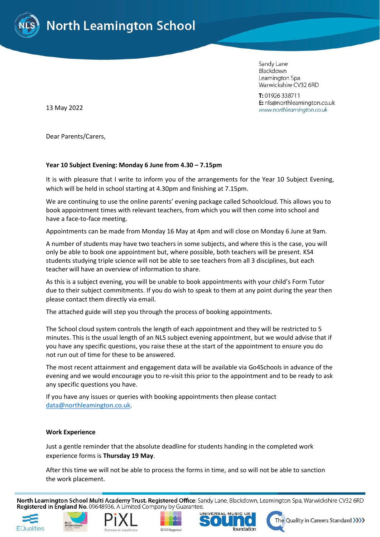

Sandy Lane Blackdown Leamington Spa Warwickshire CV32 6RD

T: 01926 338711 E: nls@northleamington.co.uk www.northleamington.co.uk

13 May 2022

Dear Parents/Carers,

## **Year 10 Subject Evening: Monday 6 June from 4.30 – 7.15pm**

It is with pleasure that I write to inform you of the arrangements for the Year 10 Subject Evening, which will be held in school starting at 4.30pm and finishing at 7.15pm.

We are continuing to use the online parents' evening package called Schoolcloud. This allows you to book appointment times with relevant teachers, from which you will then come into school and have a face-to-face meeting.

Appointments can be made from Monday 16 May at 4pm and will close on Monday 6 June at 9am.

A number of students may have two teachers in some subjects, and where this is the case, you will only be able to book one appointment but, where possible, both teachers will be present. KS4 students studying triple science will not be able to see teachers from all 3 disciplines, but each teacher will have an overview of information to share.

As this is a subject evening, you will be unable to book appointments with your child's Form Tutor due to their subject commitments. If you do wish to speak to them at any point during the year then please contact them directly via email.

The attached guide will step you through the process of booking appointments.

The School cloud system controls the length of each appointment and they will be restricted to 5 minutes. This is the usual length of an NLS subject evening appointment, but we would advise that if you have any specific questions, you raise these at the start of the appointment to ensure you do not run out of time for these to be answered.

The most recent attainment and engagement data will be available via Go4Schools in advance of the evening and we would encourage you to re-visit this prior to the appointment and to be ready to ask any specific questions you have.

If you have any issues or queries with booking appointments then please contact [data@northleamington.co.uk.](mailto:data@northleamington.co.uk)

### **Work Experience**

Just a gentle reminder that the absolute deadline for students handing in the completed work experience forms is **Thursday 19 May**.

After this time we will not be able to process the forms in time, and so will not be able to sanction the work placement.

North Leamington School Multi Academy Trust. Registered Office: Sandy Lane, Blackdown, Leamington Spa, Warwickshire CV32 6RD Registered in England No. 09648936. A Limited Company by Guarantee.











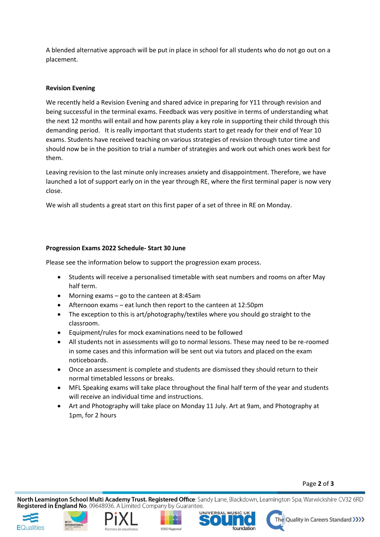A blended alternative approach will be put in place in school for all students who do not go out on a placement.

# **Revision Evening**

We recently held a Revision Evening and shared advice in preparing for Y11 through revision and being successful in the terminal exams. Feedback was very positive in terms of understanding what the next 12 months will entail and how parents play a key role in supporting their child through this demanding period. It is really important that students start to get ready for their end of Year 10 exams. Students have received teaching on various strategies of revision through tutor time and should now be in the position to trial a number of strategies and work out which ones work best for them.

Leaving revision to the last minute only increases anxiety and disappointment. Therefore, we have launched a lot of support early on in the year through RE, where the first terminal paper is now very close.

We wish all students a great start on this first paper of a set of three in RE on Monday.

# **Progression Exams 2022 Schedule- Start 30 June**

Please see the information below to support the progression exam process.

- Students will receive a personalised timetable with seat numbers and rooms on after May half term.
- Morning exams go to the canteen at 8:45am
- Afternoon exams eat lunch then report to the canteen at 12:50pm
- The exception to this is art/photography/textiles where you should go straight to the classroom.
- Equipment/rules for mock examinations need to be followed
- All students not in assessments will go to normal lessons. These may need to be re-roomed in some cases and this information will be sent out via tutors and placed on the exam noticeboards.
- Once an assessment is complete and students are dismissed they should return to their normal timetabled lessons or breaks.
- MFL Speaking exams will take place throughout the final half term of the year and students will receive an individual time and instructions.
- Art and Photography will take place on Monday 11 July. Art at 9am, and Photography at 1pm, for 2 hours

## Page **2** of **3**

North Leamington School Multi Academy Trust. Registered Office: Sandy Lane, Blackdown, Leamington Spa, Warwickshire CV32 6RD Registered in England No. 09648936. A Limited Company by Guarantee.